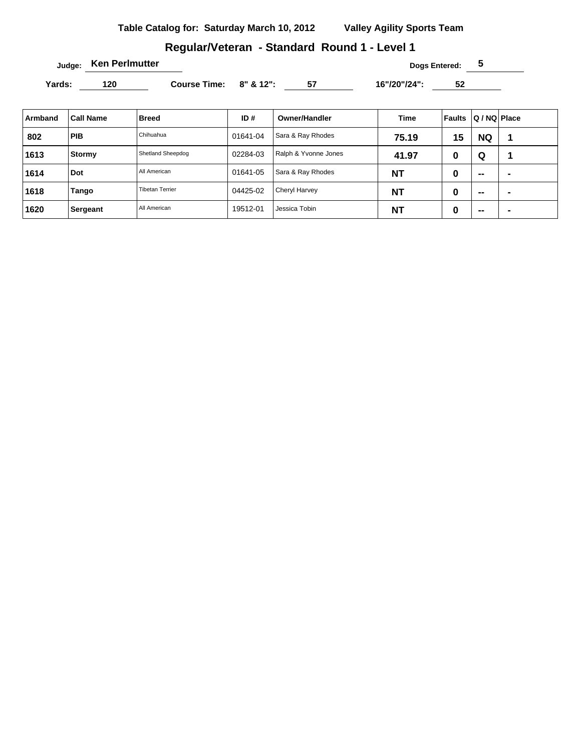# **Regular/Veteran - Standard Round 1 - Level 1**

 $Judge:$  **Ken Perlmutter Dogs Entered: 5** 

Yards: 120 **Course Time: 8" & 12":** 57 16"/20"/24": 52

| Armband | <b>Call Name</b> | <b>Breed</b>           | ID#      | <b>Owner/Handler</b> | Time      | <b>Faults</b> | Q / NQ Place             |                          |
|---------|------------------|------------------------|----------|----------------------|-----------|---------------|--------------------------|--------------------------|
| 802     | <b>PIB</b>       | Chihuahua              | 01641-04 | Sara & Ray Rhodes    | 75.19     | 15            | <b>NQ</b>                |                          |
| 1613    | Stormy           | Shetland Sheepdog      | 02284-03 | Ralph & Yvonne Jones | 41.97     | 0             | Q                        |                          |
| 1614    | Dot              | All American           | 01641-05 | Sara & Ray Rhodes    | <b>NT</b> | 0             | $\overline{\phantom{a}}$ | $\overline{\phantom{0}}$ |
| 1618    | Tango            | <b>Tibetan Terrier</b> | 04425-02 | <b>Cheryl Harvey</b> | <b>NT</b> | 0             | $\sim$                   | $\blacksquare$           |
| 1620    | Sergeant         | All American           | 19512-01 | Jessica Tobin        | <b>NT</b> | 0             | $\overline{\phantom{a}}$ |                          |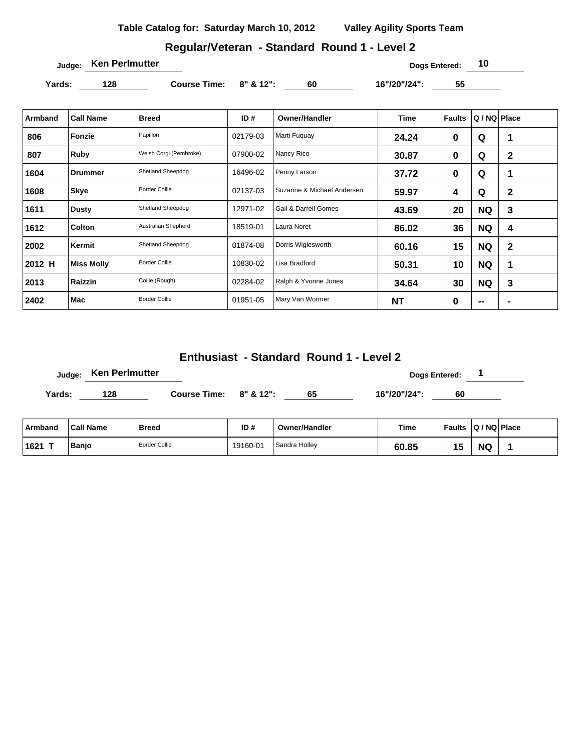# **Regular/Veteran - Standard Round 1 - Level 2**

**Judge: Ken Perlmutter Construction Construction Construction Construction Construction Construction Construction Construction Construction Construction Construction Construction Construction Construction Construction** 

Yards: 128 **Course Time: 8" & 12":** 60 16"/20"/24": 55

| Armband | <b>Call Name</b>  | <b>Breed</b>           | ID#      | <b>Owner/Handler</b>       | Time      | <b>Faults</b> | Q / NQ   Place           |              |
|---------|-------------------|------------------------|----------|----------------------------|-----------|---------------|--------------------------|--------------|
| 806     | Fonzie            | Papillon               | 02179-03 | Marti Fuguay               | 24.24     | 0             | Q                        | 1            |
| 807     | Ruby              | Welsh Corgi (Pembroke) | 07900-02 | Nancy Rico                 | 30.87     | 0             | Q                        | $\mathbf{2}$ |
| 1604    | <b>Drummer</b>    | Shetland Sheepdog      | 16496-02 | Penny Larson               | 37.72     | 0             | Q                        | 1            |
| 1608    | Skye              | <b>Border Collie</b>   | 02137-03 | Suzanne & Michael Andersen | 59.97     | 4             | Q                        | $\mathbf{2}$ |
| 1611    | <b>Dusty</b>      | Shetland Sheepdog      | 12971-02 | Gail & Darrell Gomes       | 43.69     | 20            | <b>NQ</b>                | 3            |
| 1612    | <b>Colton</b>     | Australian Shepherd    | 18519-01 | Laura Noret                | 86.02     | 36            | <b>NQ</b>                | 4            |
| 2002    | Kermit            | Shetland Sheepdog      | 01874-08 | Dorris Wiglesworth         | 60.16     | 15            | <b>NQ</b>                | $\mathbf{2}$ |
| 2012 H  | <b>Miss Molly</b> | <b>Border Collie</b>   | 10830-02 | Lisa Bradford              | 50.31     | 10            | <b>NQ</b>                | 1            |
| 2013    | Raizzin           | Collie (Rough)         | 02284-02 | Ralph & Yvonne Jones       | 34.64     | 30            | <b>NQ</b>                | 3            |
| 2402    | Mac               | <b>Border Collie</b>   | 01951-05 | Mary Van Wormer            | <b>NT</b> | 0             | $\overline{\phantom{a}}$ |              |

# **Enthusiast - Standard Round 1 - Level 2**

|        | Judge: Ken Perlmutter |                        |    | Dogs Entered: |    |
|--------|-----------------------|------------------------|----|---------------|----|
| Yards: | 128                   | Course Time: 8" & 12": | 65 | 16"/20"/24":  | 60 |

| ∣ Armband | <b>Call Name</b> | Breed                | ID#      | <b>Owner/Handler</b>       | <b>Time</b> | <b>Faults</b> | Q / NQ Place |  |
|-----------|------------------|----------------------|----------|----------------------------|-------------|---------------|--------------|--|
| $1621$ T  | Banjo            | <b>Border Collie</b> | 19160-01 | <sup>1</sup> Sandra Hollev | 60.85       | 1 F<br>N      | <b>NC</b>    |  |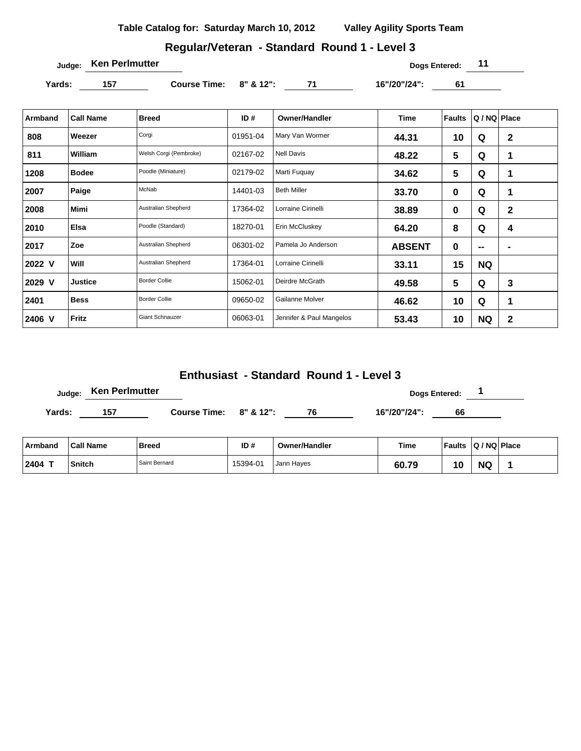## **Regular/Veteran - Standard Round 1 - Level 3**

**Judge: Ken Perlmutter 11** 

Yards: 157 **Course Time: 8" & 12":** 71 16"/20"/24": 61

| Armband | <b>Call Name</b> | <b>Breed</b>           | ID#      | <b>Owner/Handler</b>     | <b>Time</b>   | <b>Faults</b>  | Q / NQ   Place           |                |
|---------|------------------|------------------------|----------|--------------------------|---------------|----------------|--------------------------|----------------|
| 808     | Weezer           | Corgi                  | 01951-04 | Mary Van Wormer          | 44.31         | 10             | Q                        | $\mathbf 2$    |
| 811     | William          | Welsh Corgi (Pembroke) | 02167-02 | <b>Nell Davis</b>        | 48.22         | $5\phantom{1}$ | Q                        | $\mathbf 1$    |
| 1208    | <b>Bodee</b>     | Poodle (Miniature)     | 02179-02 | Marti Fuguay             | 34.62         | 5              | Q                        | 1              |
| 2007    | Paige            | McNab                  | 14401-03 | <b>Beth Miller</b>       | 33.70         | $\bf{0}$       | Q                        | $\mathbf 1$    |
| 2008    | <b>Mimi</b>      | Australian Shepherd    | 17364-02 | Lorraine Cirinelli       | 38.89         | $\mathbf 0$    | Q                        | $\mathbf 2$    |
| 2010    | Elsa             | Poodle (Standard)      | 18270-01 | Erin McCluskey           | 64.20         | 8              | Q                        | 4              |
| 2017    | Zoe              | Australian Shepherd    | 06301-02 | Pamela Jo Anderson       | <b>ABSENT</b> | 0              | $\overline{\phantom{a}}$ | $\blacksquare$ |
| 2022 V  | Will             | Australian Shepherd    | 17364-01 | Lorraine Cirinelli       | 33.11         | 15             | <b>NQ</b>                |                |
| 2029 V  | <b>Justice</b>   | <b>Border Collie</b>   | 15062-01 | Deirdre McGrath          | 49.58         | $5\phantom{1}$ | Q                        | 3              |
| 2401    | <b>Bess</b>      | <b>Border Collie</b>   | 09650-02 | Gailanne Molver          | 46.62         | 10             | Q                        | 1              |
| 2406 V  | Fritz            | <b>Giant Schnauzer</b> | 06063-01 | Jennifer & Paul Mangelos | 53.43         | 10             | <b>NQ</b>                | $\mathbf{2}$   |

# **Enthusiast - Standard Round 1 - Level 3**

|         | <b>Ken Perlmutter</b><br>Judge: |                              |     |                      | <b>Dogs Entered:</b> |                         |  |
|---------|---------------------------------|------------------------------|-----|----------------------|----------------------|-------------------------|--|
| Yards:  | 157                             | Course Time: $8''$ & $12"$ : |     | 76                   | 16"/20"/24":         | 66                      |  |
| Armband | <b>Call Name</b>                | Breed                        | ID# | <b>Owner/Handler</b> | Time                 | Faults   Q / NQ   Place |  |

**2404 T Snitch** Saint Bernard 15394-01 Jann Hayes **60.79 10 NQ 1**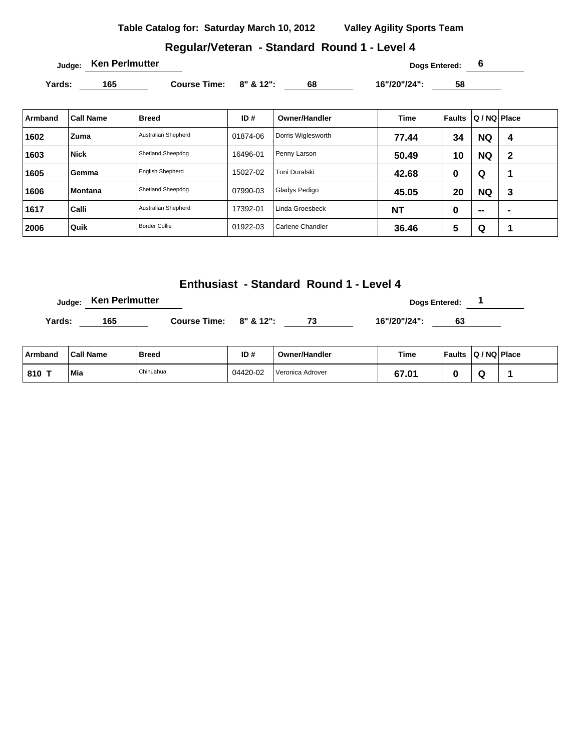### **Regular/Veteran - Standard Round 1 - Level 4**

**Yards: 165 Course Time: 8" & 12": 68 16"/20"/24": 58** 

| Armband | <b>Call Name</b> | <b>Breed</b>            | ID#      | <b>Owner/Handler</b> | <b>Time</b> | Faults | Q / NQ   Place |   |
|---------|------------------|-------------------------|----------|----------------------|-------------|--------|----------------|---|
| 1602    | Zuma             | Australian Shepherd     | 01874-06 | Dorris Wiglesworth   | 77.44       | 34     | <b>NQ</b>      | 4 |
| 1603    | <b>Nick</b>      | Shetland Sheepdog       | 16496-01 | Penny Larson         | 50.49       | 10     | <b>NQ</b>      | 2 |
| 1605    | Gemma            | <b>English Shepherd</b> | 15027-02 | Toni Duralski        | 42.68       | 0      | Q              | ٠ |
| 1606    | <b>Montana</b>   | Shetland Sheepdog       | 07990-03 | Gladys Pedigo        | 45.05       | 20     | <b>NQ</b>      | 3 |
| 1617    | Calli            | Australian Shepherd     | 17392-01 | Linda Groesbeck      | <b>NT</b>   | 0      | $\sim$         | - |
| 2006    | Quik             | <b>Border Collie</b>    | 01922-03 | Carlene Chandler     | 36.46       | 5      | Q              |   |

#### **Enthusiast - Standard Round 1 - Level 4**

**Judge:** Ken Perlmutter **and the Contract Enterprise Server All 2009** Dogs Entered: 1 Yards: 165 **Course Time: 8" & 12":** 73 16"/20"/24": 63

| ∣ Armband | <b>Call Name</b> | <b>Breed</b> | ID#      | <b>Owner/Handler</b>          | Time  | Faults Q / NQ Place |  |
|-----------|------------------|--------------|----------|-------------------------------|-------|---------------------|--|
| 810 1     | Mia              | Chihuahua    | 04420-02 | <sup>I</sup> Veronica Adrover | 67.01 |                     |  |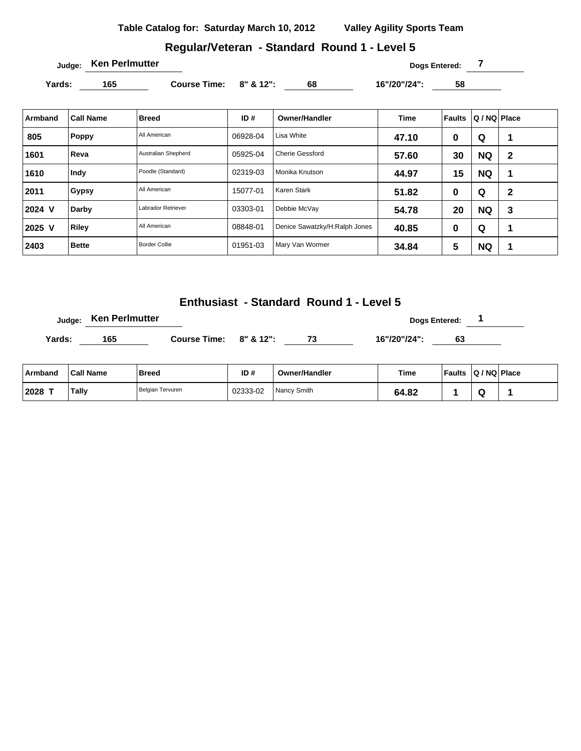# **Regular/Veteran - Standard Round 1 - Level 5**

**Judge: Ken Perlmutter Dogs Entered: 7** 

Yards: 165 **Course Time: 8" & 12":** 68 16"/20"/24": 58

| Armband | <b>Call Name</b> | <b>Breed</b>         | ID#      | Owner/Handler                 | <b>Time</b> | Faults | Q / NQ   Place |              |
|---------|------------------|----------------------|----------|-------------------------------|-------------|--------|----------------|--------------|
| 805     | <b>Poppy</b>     | All American         | 06928-04 | Lisa White                    | 47.10       | 0      | Q              |              |
| 1601    | Reva             | Australian Shepherd  | 05925-04 | <b>Cherie Gessford</b>        | 57.60       | 30     | <b>NQ</b>      | $\mathbf{2}$ |
| 1610    | Indy             | Poodle (Standard)    | 02319-03 | Monika Knutson                | 44.97       | 15     | <b>NQ</b>      | 1            |
| 2011    | <b>Gypsy</b>     | All American         | 15077-01 | Karen Stark                   | 51.82       | 0      | Q              | $\mathbf{2}$ |
| 2024 V  | Darby            | Labrador Retriever   | 03303-01 | Debbie McVay                  | 54.78       | 20     | <b>NQ</b>      | 3            |
| 2025 V  | Riley            | All American         | 08848-01 | Denice Sawatzky/H:Ralph Jones | 40.85       | 0      | Q              | 4            |
| 2403    | <b>Bette</b>     | <b>Border Collie</b> | 01951-03 | Mary Van Wormer               | 34.84       | 5      | <b>NQ</b>      | 1            |

**Enthusiast - Standard Round 1 - Level 5**

|        | Judge: Ken Perlmutter |                        |  |              | Dogs Entered: |  |
|--------|-----------------------|------------------------|--|--------------|---------------|--|
| Yards: | 165                   | Course Time: 8" & 12": |  | 16"/20"/24": | 63            |  |

| <b>Armband</b> | <b>Call Name</b> | Breed            | ID#      | <b>Owner/Handler</b> | Time  | <b>Faults</b> | Q / NQ   Place |  |
|----------------|------------------|------------------|----------|----------------------|-------|---------------|----------------|--|
| 2028           | Tally            | Belgian Tervuren | 02333-02 | Nancy Smith          | 64.82 |               |                |  |